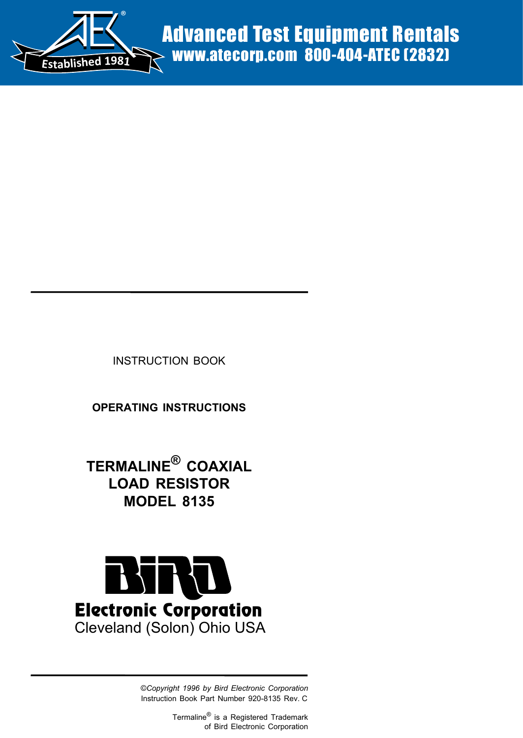

INSTRUCTION BOOK

**OPERATING INSTRUCTIONS**

**TERMALINE® COAXIAL LOAD RESISTOR MODEL 8135**



©*Copyright 1996 by Bird Electronic Corporation* Instruction Book Part Number 920-8135 Rev. C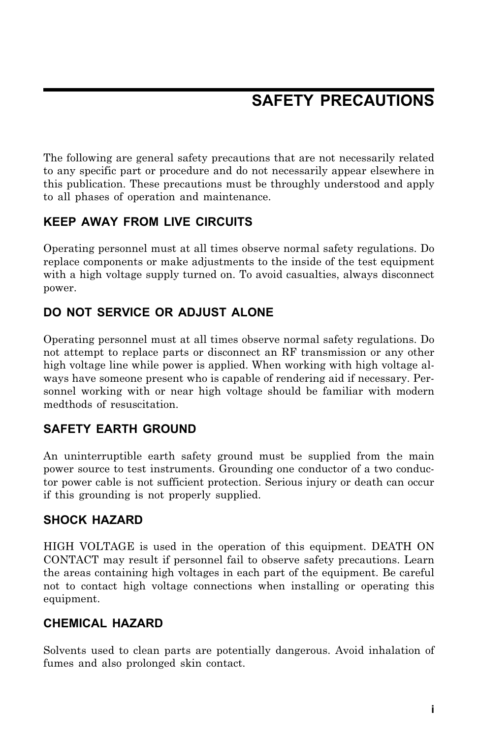## **SAFETY PRECAUTIONS**

The following are general safety precautions that are not necessarily related to any specific part or procedure and do not necessarily appear elsewhere in this publication. These precautions must be throughly understood and apply to all phases of operation and maintenance.

### **KEEP AWAY FROM LIVE CIRCUITS**

Operating personnel must at all times observe normal safety regulations. Do replace components or make adjustments to the inside of the test equipment with a high voltage supply turned on. To avoid casualties, always disconnect power.

### **DO NOT SERVICE OR ADJUST ALONE**

Operating personnel must at all times observe normal safety regulations. Do not attempt to replace parts or disconnect an RF transmission or any other high voltage line while power is applied. When working with high voltage always have someone present who is capable of rendering aid if necessary. Personnel working with or near high voltage should be familiar with modern medthods of resuscitation.

### **SAFETY EARTH GROUND**

An uninterruptible earth safety ground must be supplied from the main power source to test instruments. Grounding one conductor of a two conductor power cable is not sufficient protection. Serious injury or death can occur if this grounding is not properly supplied.

### **SHOCK HAZARD**

HIGH VOLTAGE is used in the operation of this equipment. DEATH ON CONTACT may result if personnel fail to observe safety precautions. Learn the areas containing high voltages in each part of the equipment. Be careful not to contact high voltage connections when installing or operating this equipment.

### **CHEMICAL HAZARD**

Solvents used to clean parts are potentially dangerous. Avoid inhalation of fumes and also prolonged skin contact.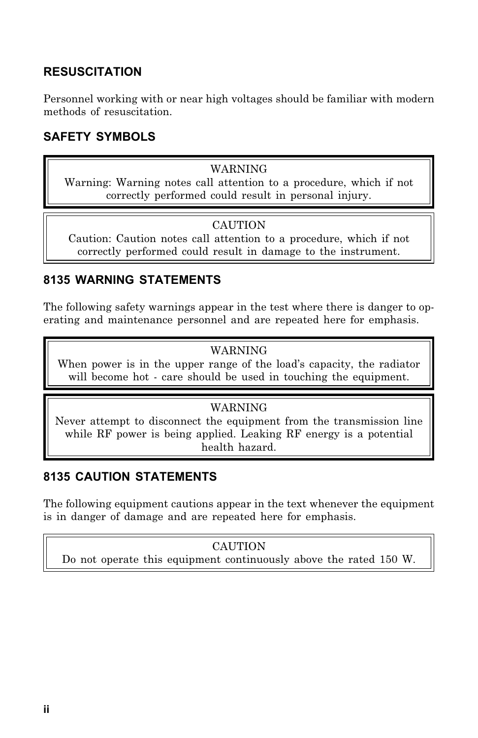### **RESUSCITATION**

Personnel working with or near high voltages should be familiar with modern methods of resuscitation.

### **SAFETY SYMBOLS**

#### WARNING

Warning: Warning notes call attention to a procedure, which if not correctly performed could result in personal injury.

#### **CAUTION**

Caution: Caution notes call attention to a procedure, which if not correctly performed could result in damage to the instrument.

#### **8135 WARNING STATEMENTS**

The following safety warnings appear in the test where there is danger to operating and maintenance personnel and are repeated here for emphasis.

#### WARNING

When power is in the upper range of the load's capacity, the radiator will become hot - care should be used in touching the equipment.

#### WARNING

Never attempt to disconnect the equipment from the transmission line while RF power is being applied. Leaking RF energy is a potential health hazard.

### **8135 CAUTION STATEMENTS**

The following equipment cautions appear in the text whenever the equipment is in danger of damage and are repeated here for emphasis.

#### **CAUTION**

Do not operate this equipment continuously above the rated 150 W.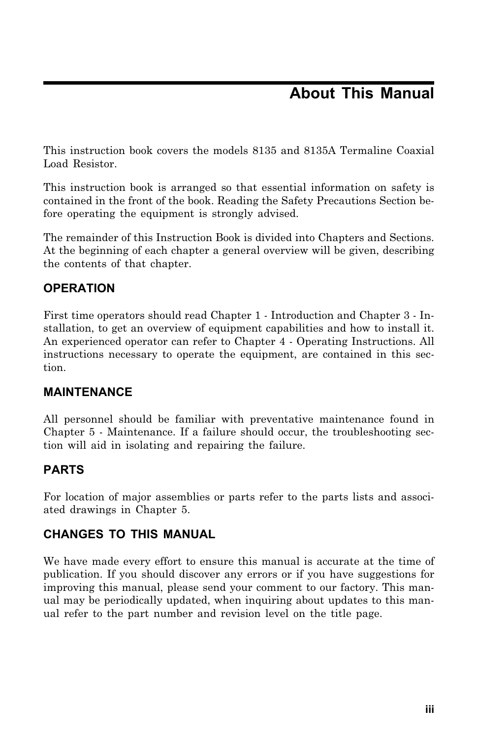## **About This Manual**

This instruction book covers the models 8135 and 8135A Termaline Coaxial Load Resistor.

This instruction book is arranged so that essential information on safety is contained in the front of the book. Reading the Safety Precautions Section before operating the equipment is strongly advised.

The remainder of this Instruction Book is divided into Chapters and Sections. At the beginning of each chapter a general overview will be given, describing the contents of that chapter.

### **OPERATION**

First time operators should read Chapter 1 - Introduction and Chapter 3 - Installation, to get an overview of equipment capabilities and how to install it. An experienced operator can refer to Chapter 4 - Operating Instructions. All instructions necessary to operate the equipment, are contained in this section.

### **MAINTENANCE**

All personnel should be familiar with preventative maintenance found in Chapter 5 - Maintenance. If a failure should occur, the troubleshooting section will aid in isolating and repairing the failure.

### **PARTS**

For location of major assemblies or parts refer to the parts lists and associated drawings in Chapter 5.

### **CHANGES TO THIS MANUAL**

We have made every effort to ensure this manual is accurate at the time of publication. If you should discover any errors or if you have suggestions for improving this manual, please send your comment to our factory. This manual may be periodically updated, when inquiring about updates to this manual refer to the part number and revision level on the title page.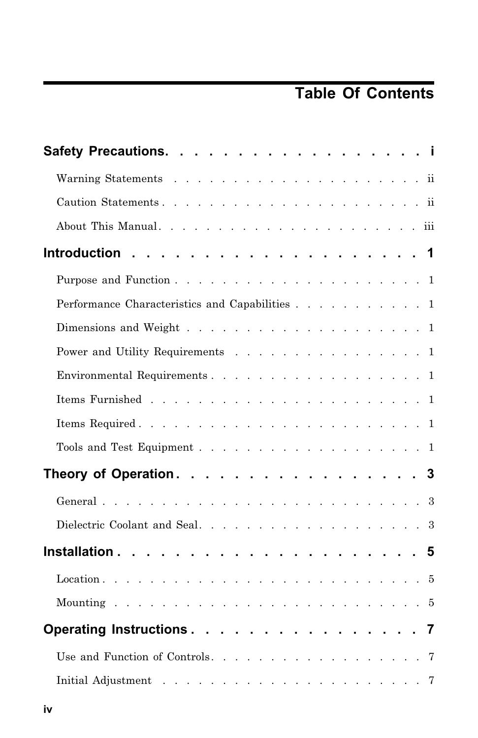# **Table Of Contents**

| Safety Precautions. i                                                                          |
|------------------------------------------------------------------------------------------------|
|                                                                                                |
|                                                                                                |
|                                                                                                |
|                                                                                                |
|                                                                                                |
| Performance Characteristics and Capabilities 1                                                 |
|                                                                                                |
| Power and Utility Requirements 1                                                               |
| Environmental Requirements. 1                                                                  |
|                                                                                                |
|                                                                                                |
| Tools and Test Equipment 1                                                                     |
| Theory of Operation. 3                                                                         |
|                                                                                                |
|                                                                                                |
|                                                                                                |
|                                                                                                |
|                                                                                                |
| Operating Instructions. 7                                                                      |
| Use and Function of Controls. 7                                                                |
| Initial Adjustment $\ldots \ldots \ldots \ldots \ldots \ldots \ldots \ldots$<br>$\overline{7}$ |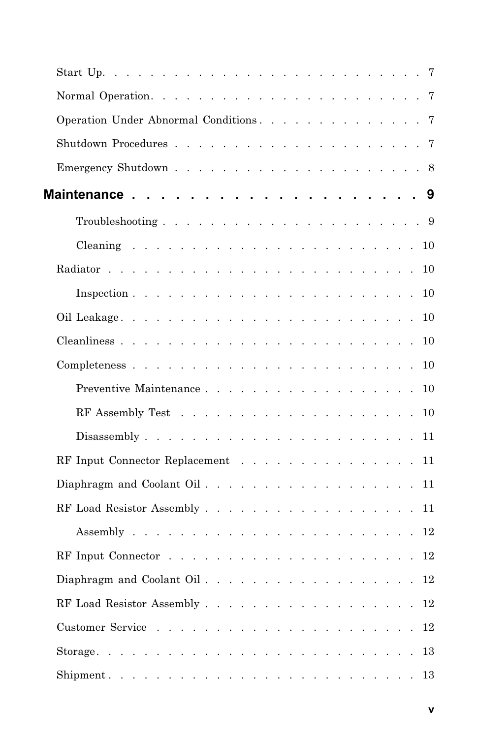| Operation Under Abnormal Conditions.    | 7      |
|-----------------------------------------|--------|
|                                         | 7      |
|                                         |        |
|                                         | 9      |
|                                         |        |
|                                         | $10\,$ |
|                                         | 10     |
|                                         | 10     |
|                                         | 10     |
|                                         | 10     |
|                                         |        |
| Preventive Maintenance 10               |        |
|                                         |        |
|                                         | 11     |
| RF Input Connector Replacement $\ldots$ | 11     |
|                                         | 11     |
|                                         | 11     |
|                                         | 12     |
|                                         | 12     |
| Diaphragm and Coolant Oil. 12           |        |
| RF Load Resistor Assembly 12            |        |
|                                         | 12     |
|                                         | 13     |
|                                         | 13     |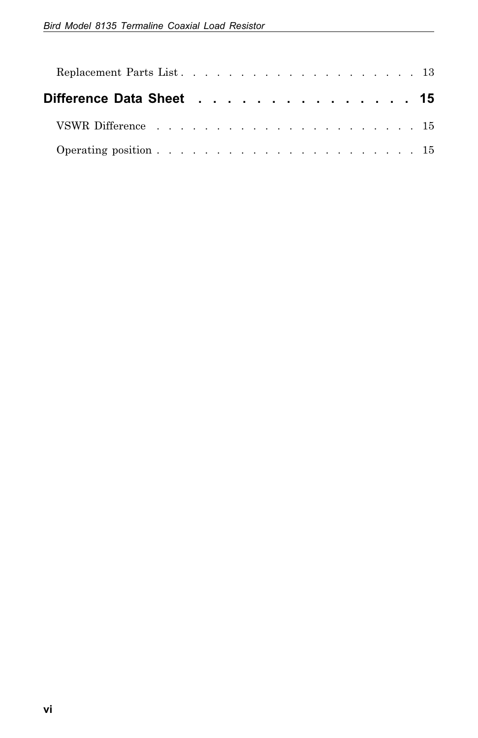| Difference Data Sheet 15 |  |  |  |  |  |  |  |  |  |  |
|--------------------------|--|--|--|--|--|--|--|--|--|--|
|                          |  |  |  |  |  |  |  |  |  |  |
|                          |  |  |  |  |  |  |  |  |  |  |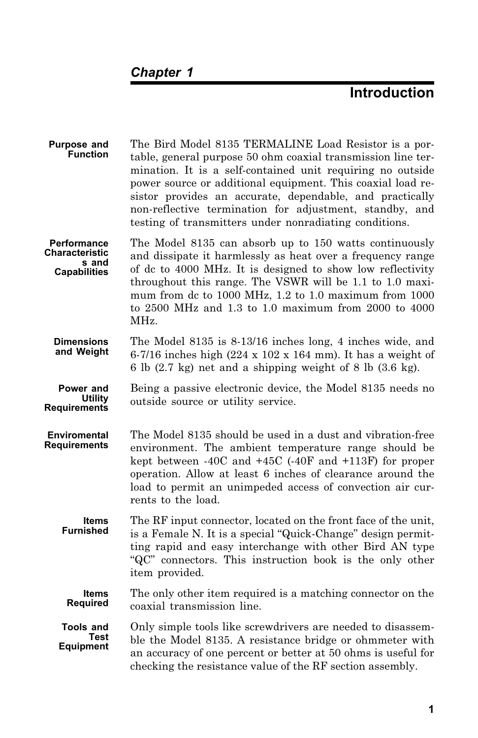## **Introduction**

| <b>Purpose and</b><br><b>Function</b>                                | The Bird Model 8135 TERMALINE Load Resistor is a por-<br>table, general purpose 50 ohm coaxial transmission line ter-<br>mination. It is a self-contained unit requiring no outside<br>power source or additional equipment. This coaxial load re-<br>sistor provides an accurate, dependable, and practically<br>non-reflective termination for adjustment, standby, and<br>testing of transmitters under nonradiating conditions. |
|----------------------------------------------------------------------|-------------------------------------------------------------------------------------------------------------------------------------------------------------------------------------------------------------------------------------------------------------------------------------------------------------------------------------------------------------------------------------------------------------------------------------|
| <b>Performance</b><br>Characteristic<br>s and<br><b>Capabilities</b> | The Model 8135 can absorb up to 150 watts continuously<br>and dissipate it harmlessly as heat over a frequency range<br>of dc to 4000 MHz. It is designed to show low reflectivity<br>throughout this range. The VSWR will be 1.1 to 1.0 maxi-<br>mum from dc to 1000 MHz, 1.2 to 1.0 maximum from 1000<br>to 2500 MHz and 1.3 to 1.0 maximum from 2000 to 4000<br>MHz.                                                             |
| <b>Dimensions</b><br>and Weight                                      | The Model 8135 is 8-13/16 inches long, 4 inches wide, and<br>6-7/16 inches high (224 x 102 x 164 mm). It has a weight of<br>6 lb (2.7 kg) net and a shipping weight of 8 lb (3.6 kg).                                                                                                                                                                                                                                               |
| Power and<br>Utility<br><b>Requirements</b>                          | Being a passive electronic device, the Model 8135 needs no<br>outside source or utility service.                                                                                                                                                                                                                                                                                                                                    |
| <b>Enviromental</b><br>Requirements                                  | The Model 8135 should be used in a dust and vibration-free<br>environment. The ambient temperature range should be<br>kept between $-40C$ and $+45C$ ( $-40F$ and $+113F$ ) for proper<br>operation. Allow at least 6 inches of clearance around the<br>load to permit an unimpeded access of convection air cur-<br>rents to the load.                                                                                             |
| Items<br><b>Furnished</b>                                            | The RF input connector, located on the front face of the unit,<br>is a Female N. It is a special "Quick-Change" design permit-<br>ting rapid and easy interchange with other Bird AN type<br>"QC" connectors. This instruction book is the only other<br>item provided.                                                                                                                                                             |
| ltems<br><b>Required</b>                                             | The only other item required is a matching connector on the<br>coaxial transmission line.                                                                                                                                                                                                                                                                                                                                           |
| Tools and<br>Test<br><b>Equipment</b>                                | Only simple tools like screwdrivers are needed to disassem-<br>ble the Model 8135. A resistance bridge or ohmmeter with<br>an accuracy of one percent or better at 50 ohms is useful for<br>checking the resistance value of the RF section assembly.                                                                                                                                                                               |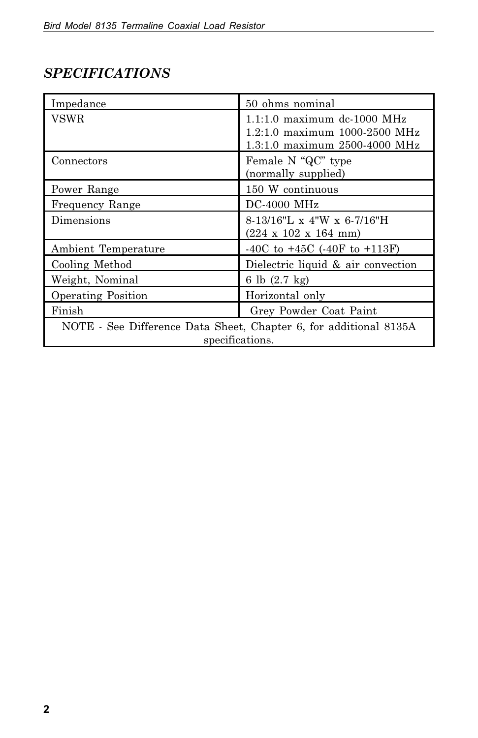## *SPECIFICATIONS*

| Impedance                                                                            | 50 ohms nominal                                                                                 |  |  |  |  |  |  |
|--------------------------------------------------------------------------------------|-------------------------------------------------------------------------------------------------|--|--|--|--|--|--|
| VSWR                                                                                 | $1.1:1.0$ maximum dc-1000 MHz<br>1.2:1.0 maximum 1000-2500 MHz<br>1.3:1.0 maximum 2500-4000 MHz |  |  |  |  |  |  |
| Connectors                                                                           | Female N "QC" type<br>(normally supplied)                                                       |  |  |  |  |  |  |
| Power Range                                                                          | 150 W continuous                                                                                |  |  |  |  |  |  |
| Frequency Range                                                                      | $DC-4000$ MHz                                                                                   |  |  |  |  |  |  |
| Dimensions                                                                           | $8-13/16"L \times 4"W \times 6-7/16"H$<br>$(224 \times 102 \times 164 \text{ mm})$              |  |  |  |  |  |  |
| Ambient Temperature                                                                  | $-40C$ to $+45C$ ( $-40F$ to $+113F$ )                                                          |  |  |  |  |  |  |
| Cooling Method                                                                       | Dielectric liquid & air convection                                                              |  |  |  |  |  |  |
| Weight, Nominal                                                                      | 6 lb $(2.7 \text{ kg})$                                                                         |  |  |  |  |  |  |
| <b>Operating Position</b>                                                            | Horizontal only                                                                                 |  |  |  |  |  |  |
| Finish                                                                               | Grey Powder Coat Paint                                                                          |  |  |  |  |  |  |
| NOTE - See Difference Data Sheet, Chapter 6, for additional 8135A<br>specifications. |                                                                                                 |  |  |  |  |  |  |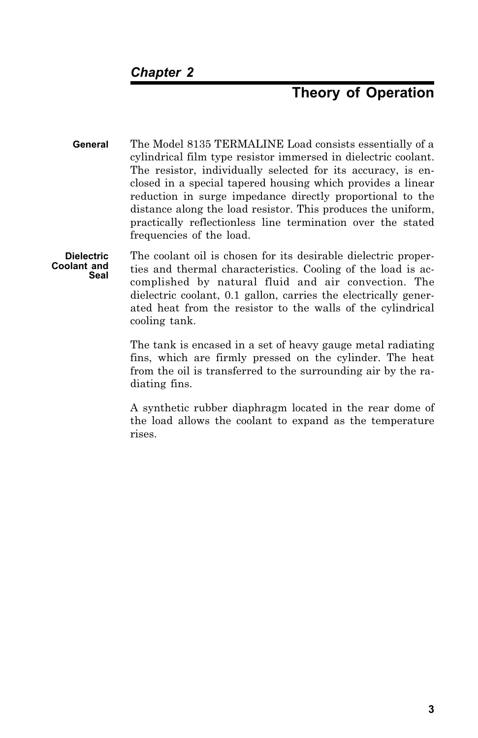## **Theory of Operation**

- **General** The Model 8135 TERMALINE Load consists essentially of a cylindrical film type resistor immersed in dielectric coolant. The resistor, individually selected for its accuracy, is enclosed in a special tapered housing which provides a linear reduction in surge impedance directly proportional to the distance along the load resistor. This produces the uniform, practically reflectionless line termination over the stated frequencies of the load.
- **Dielectric Coolant and Seal** The coolant oil is chosen for its desirable dielectric properties and thermal characteristics. Cooling of the load is accomplished by natural fluid and air convection. The dielectric coolant, 0.1 gallon, carries the electrically generated heat from the resistor to the walls of the cylindrical cooling tank.

The tank is encased in a set of heavy gauge metal radiating fins, which are firmly pressed on the cylinder. The heat from the oil is transferred to the surrounding air by the radiating fins.

A synthetic rubber diaphragm located in the rear dome of the load allows the coolant to expand as the temperature rises.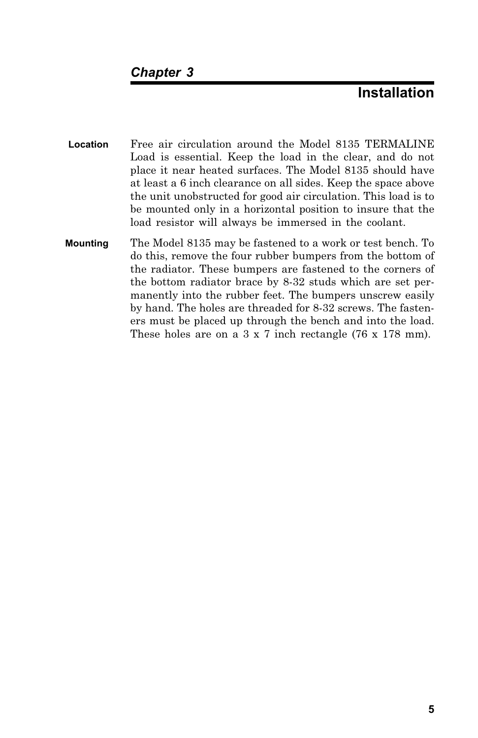### **Installation**

- **Location** Free air circulation around the Model 8135 TERMALINE Load is essential. Keep the load in the clear, and do not place it near heated surfaces. The Model 8135 should have at least a 6 inch clearance on all sides. Keep the space above the unit unobstructed for good air circulation. This load is to be mounted only in a horizontal position to insure that the load resistor will always be immersed in the coolant.
- **Mounting** The Model 8135 may be fastened to a work or test bench. To do this, remove the four rubber bumpers from the bottom of the radiator. These bumpers are fastened to the corners of the bottom radiator brace by 8-32 studs which are set permanently into the rubber feet. The bumpers unscrew easily by hand. The holes are threaded for 8-32 screws. The fasteners must be placed up through the bench and into the load. These holes are on a  $3 \times 7$  inch rectangle (76 x 178 mm).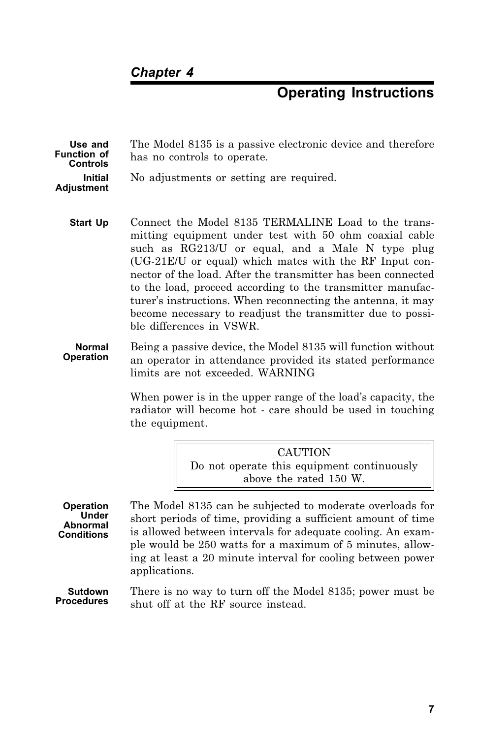### **Operating Instructions**

| Use and<br>Function of<br><b>Controls</b> | The Model 8135 is a passive electronic device and therefore<br>has no controls to operate. |
|-------------------------------------------|--------------------------------------------------------------------------------------------|
| Initial<br>Adjustment                     | No adjustments or setting are required.                                                    |

- **Start Up** Connect the Model 8135 TERMALINE Load to the transmitting equipment under test with 50 ohm coaxial cable such as RG213/U or equal, and a Male N type plug (UG-21E/U or equal) which mates with the RF Input connector of the load. After the transmitter has been connected to the load, proceed according to the transmitter manufacturer's instructions. When reconnecting the antenna, it may become necessary to readjust the transmitter due to possible differences in VSWR.
- **Normal Operation** Being a passive device, the Model 8135 will function without an operator in attendance provided its stated performance limits are not exceeded. WARNING

When power is in the upper range of the load's capacity, the radiator will become hot - care should be used in touching the equipment.

> **CAUTION** Do not operate this equipment continuously above the rated 150 W.

**Operation Under Abnormal Conditions** The Model 8135 can be subjected to moderate overloads for short periods of time, providing a sufficient amount of time is allowed between intervals for adequate cooling. An example would be 250 watts for a maximum of 5 minutes, allowing at least a 20 minute interval for cooling between power applications.

**Sutdown Procedures** There is no way to turn off the Model 8135; power must be shut off at the RF source instead.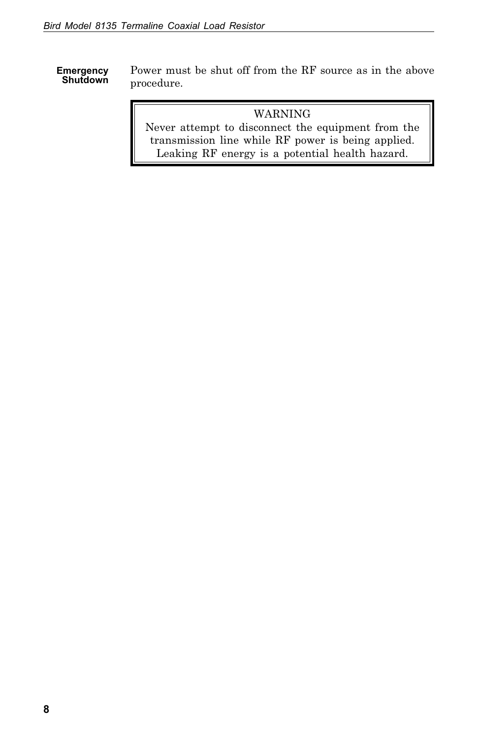**Emergency Shutdown** Power must be shut off from the RF source as in the above procedure.

#### WARNING

Never attempt to disconnect the equipment from the transmission line while RF power is being applied. Leaking RF energy is a potential health hazard.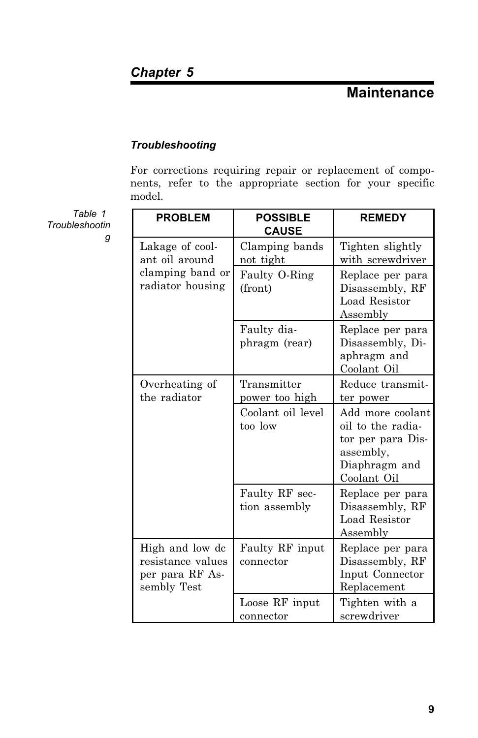### **Maintenance**

#### *Troubleshooting*

For corrections requiring repair or replacement of components, refer to the appropriate section for your specific model.

**PROBLEM POSSIBLE CAUSE REMEDY** Lakage of coolant oil around clamping band or radiator housing Clamping bands not tight Tighten slightly with screwdriver Faulty O-Ring (front) Replace per para Disassembly, RF Load Resistor Assembly Faulty diaphragm (rear) Replace per para Disassembly, Diaphragm and Coolant Oil Overheating of the radiator Transmitter power too high Reduce transmitter power Coolant oil level too low Add more coolant oil to the radiator per para Disassembly, Diaphragm and Coolant Oil Faulty RF section assembly Replace per para Disassembly, RF Load Resistor Assembly High and low dc resistance values per para RF Assembly Test Faulty RF input connector Replace per para Disassembly, RF Input Connector Replacement Loose RF input connector Tighten with a screwdriver

*Table 1 Troubleshootin g*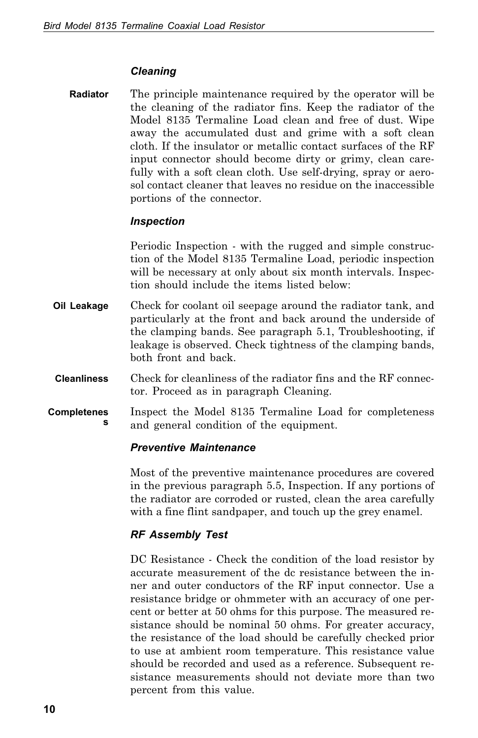#### *Cleaning*

**Radiator** The principle maintenance required by the operator will be the cleaning of the radiator fins. Keep the radiator of the Model 8135 Termaline Load clean and free of dust. Wipe away the accumulated dust and grime with a soft clean cloth. If the insulator or metallic contact surfaces of the RF input connector should become dirty or grimy, clean carefully with a soft clean cloth. Use self-drying, spray or aerosol contact cleaner that leaves no residue on the inaccessible portions of the connector.

#### *Inspection*

Periodic Inspection - with the rugged and simple construction of the Model 8135 Termaline Load, periodic inspection will be necessary at only about six month intervals. Inspection should include the items listed below:

- **Oil Leakage** Check for coolant oil seepage around the radiator tank, and particularly at the front and back around the underside of the clamping bands. See paragraph 5.1, Troubleshooting, if leakage is observed. Check tightness of the clamping bands, both front and back.
- **Cleanliness** Check for cleanliness of the radiator fins and the RF connector. Proceed as in paragraph Cleaning.
- **Completeness** Inspect the Model 8135 Termaline Load for completeness and general condition of the equipment.

#### *Preventive Maintenance*

Most of the preventive maintenance procedures are covered in the previous paragraph 5.5, Inspection. If any portions of the radiator are corroded or rusted, clean the area carefully with a fine flint sandpaper, and touch up the grey enamel.

#### *RF Assembly Test*

DC Resistance - Check the condition of the load resistor by accurate measurement of the dc resistance between the inner and outer conductors of the RF input connector. Use a resistance bridge or ohmmeter with an accuracy of one percent or better at 50 ohms for this purpose. The measured resistance should be nominal 50 ohms. For greater accuracy, the resistance of the load should be carefully checked prior to use at ambient room temperature. This resistance value should be recorded and used as a reference. Subsequent resistance measurements should not deviate more than two percent from this value.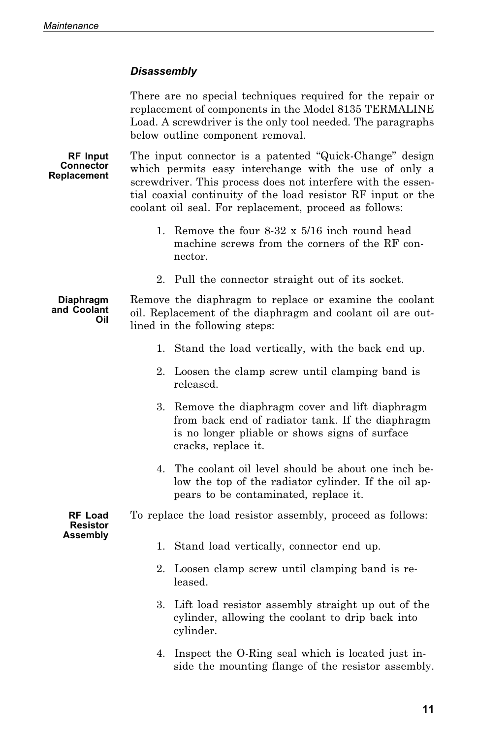#### *Disassembly*

There are no special techniques required for the repair or replacement of components in the Model 8135 TERMALINE Load. A screwdriver is the only tool needed. The paragraphs below outline component removal.

**RF Input Connector Replacement**

The input connector is a patented "Quick-Change" design which permits easy interchange with the use of only a screwdriver. This process does not interfere with the essential coaxial continuity of the load resistor RF input or the coolant oil seal. For replacement, proceed as follows:

- 1. Remove the four 8-32 x 5/16 inch round head machine screws from the corners of the RF connector.
- 2. Pull the connector straight out of its socket.

#### **Diaphragm and Coolant Oil** Remove the diaphragm to replace or examine the coolant oil. Replacement of the diaphragm and coolant oil are outlined in the following steps:

- 1. Stand the load vertically, with the back end up.
- 2. Loosen the clamp screw until clamping band is released.
- 3. Remove the diaphragm cover and lift diaphragm from back end of radiator tank. If the diaphragm is no longer pliable or shows signs of surface cracks, replace it.
- 4. The coolant oil level should be about one inch below the top of the radiator cylinder. If the oil appears to be contaminated, replace it.

To replace the load resistor assembly, proceed as follows:

**Assembly**

**RF Load Resistor**

- 1. Stand load vertically, connector end up.
- 2. Loosen clamp screw until clamping band is released.
- 3. Lift load resistor assembly straight up out of the cylinder, allowing the coolant to drip back into cylinder.
- 4. Inspect the O-Ring seal which is located just inside the mounting flange of the resistor assembly.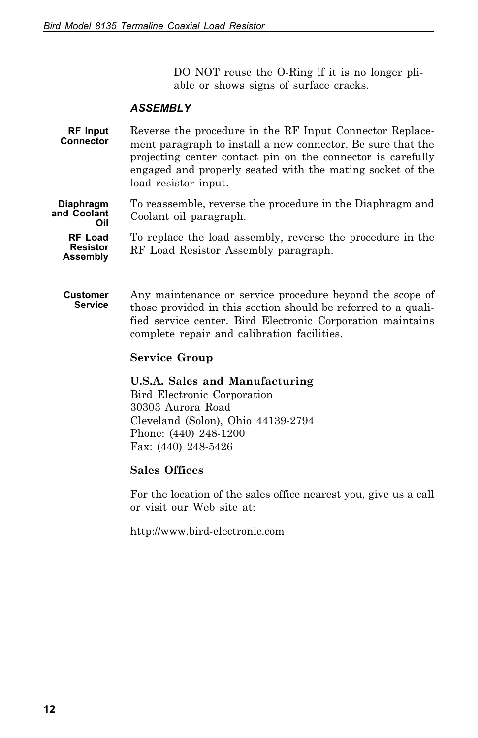DO NOT reuse the O-Ring if it is no longer pliable or shows signs of surface cracks.

#### *ASSEMBLY*

**RF Input Connector** Reverse the procedure in the RF Input Connector Replacement paragraph to install a new connector. Be sure that the projecting center contact pin on the connector is carefully engaged and properly seated with the mating socket of the load resistor input.

**Diaphragm and Coolant Oil** To reassemble, reverse the procedure in the Diaphragm and Coolant oil paragraph.

**RF Load Resistor Assembly** To replace the load assembly, reverse the procedure in the RF Load Resistor Assembly paragraph.

**Customer Service** Any maintenance or service procedure beyond the scope of those provided in this section should be referred to a qualified service center. Bird Electronic Corporation maintains complete repair and calibration facilities.

#### **Service Group**

#### **U.S.A. Sales and Manufacturing**

Bird Electronic Corporation 30303 Aurora Road Cleveland (Solon), Ohio 44139-2794 Phone: (440) 248-1200 Fax: (440) 248-5426

#### **Sales Offices**

For the location of the sales office nearest you, give us a call or visit our Web site at:

http://www.bird-electronic.com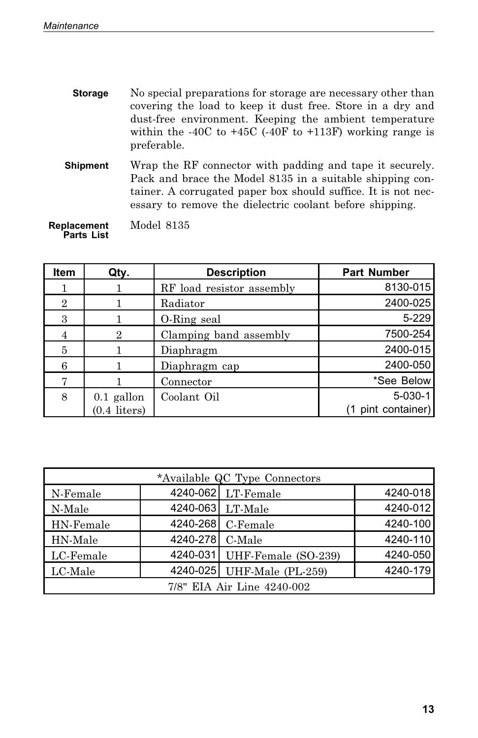| <b>Storage</b>  | No special preparations for storage are necessary other than<br>covering the load to keep it dust free. Store in a dry and<br>dust-free environment. Keeping the ambient temperature<br>within the -40C to +45C (-40F to +113F) working range is<br>preferable. |
|-----------------|-----------------------------------------------------------------------------------------------------------------------------------------------------------------------------------------------------------------------------------------------------------------|
| <b>Shipment</b> | Wrap the RF connector with padding and tape it securely.<br>Pack and brace the Model 8135 in a suitable shipping con-<br>tainer. A corrugated paper box should suffice. It is not nec-<br>essary to remove the dielectric coolant before shipping.              |

**Replacement Parts List** Model 8135

| <b>Item</b>    | Qty.           | <b>Description</b>        | <b>Part Number</b> |
|----------------|----------------|---------------------------|--------------------|
|                |                | RF load resistor assembly | 8130-015           |
| $\overline{2}$ |                | Radiator                  | 2400-025           |
| 3              |                | O-Ring seal               | $5 - 229$          |
| 4              | 2              | Clamping band assembly    | 7500-254           |
| 5              |                | Diaphragm                 | 2400-015           |
|                |                | Diaphragm cap             | 2400-050           |
| 7              |                | Connector                 | *See Below         |
| 8              | $0.1$ gallon   | Coolant Oil               | $5-030-1$          |
|                | $(0.4$ liters) |                           | (1 pint container) |

| *Available QC Type Connectors |          |                              |          |  |  |  |  |  |  |
|-------------------------------|----------|------------------------------|----------|--|--|--|--|--|--|
| N-Female                      |          | 4240-062 LT-Female           | 4240-018 |  |  |  |  |  |  |
| N-Male                        |          | 4240-063 LT-Male             | 4240-012 |  |  |  |  |  |  |
| HN-Female                     |          | 4240-268 C-Female            | 4240-100 |  |  |  |  |  |  |
| HN-Male                       | 4240-278 | C-Male                       | 4240-110 |  |  |  |  |  |  |
| LC-Female                     |          | 4240-031 UHF-Female (SO-239) | 4240-050 |  |  |  |  |  |  |
| LC-Male                       |          | 4240-025 UHF-Male (PL-259)   | 4240-179 |  |  |  |  |  |  |
| 7/8" EIA Air Line 4240-002    |          |                              |          |  |  |  |  |  |  |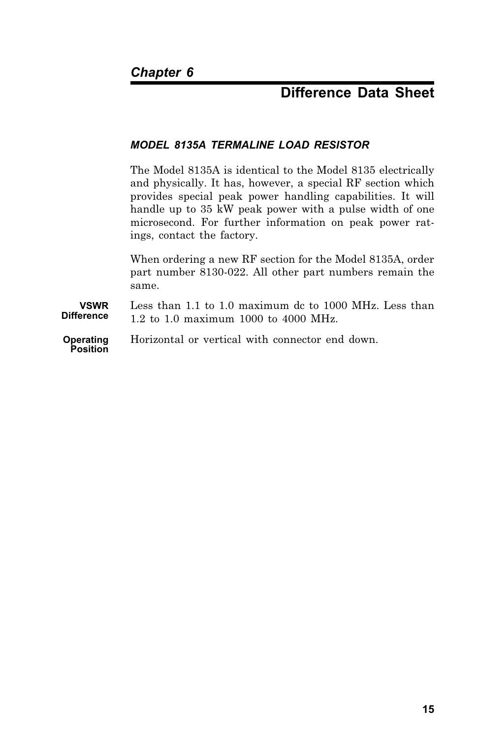## **Difference Data Sheet**

#### *MODEL 8135A TERMALINE LOAD RESISTOR*

The Model 8135A is identical to the Model 8135 electrically and physically. It has, however, a special RF section which provides special peak power handling capabilities. It will handle up to 35 kW peak power with a pulse width of one microsecond. For further information on peak power ratings, contact the factory.

When ordering a new RF section for the Model 8135A, order part number 8130-022. All other part numbers remain the same.

**VSWR Difference** Less than 1.1 to 1.0 maximum dc to 1000 MHz. Less than 1.2 to 1.0 maximum 1000 to 4000 MHz.

**Operating Position** Horizontal or vertical with connector end down.